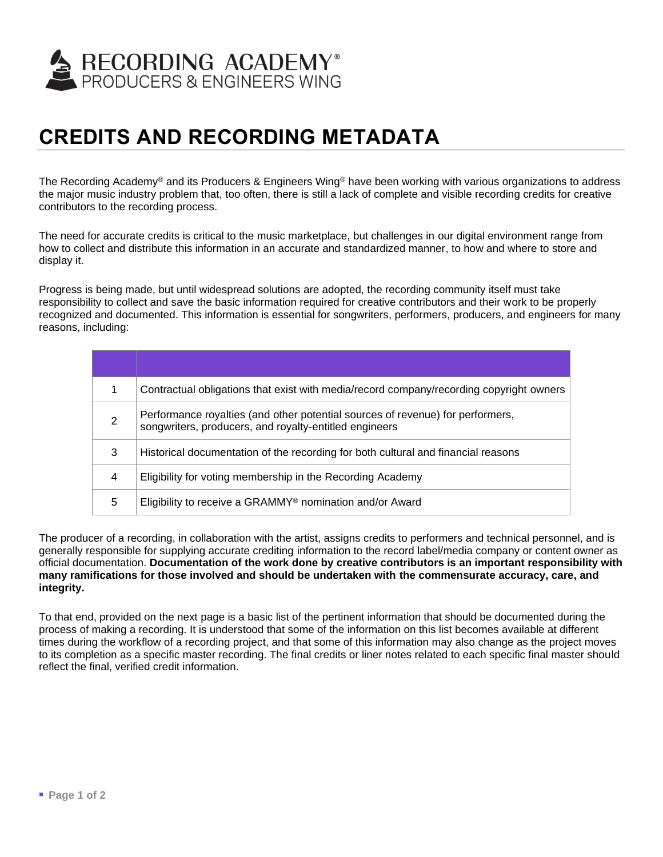

## **CREDITS AND RECORDING METADATA**

The Recording Academy<sup>®</sup> and its Producers & Engineers Wing<sup>®</sup> have been working with various organizations to address the major music industry problem that, too often, there is still a lack of complete and visible recording credits for creative contributors to the recording process.

The need for accurate credits is critical to the music marketplace, but challenges in our digital environment range from how to collect and distribute this information in an accurate and standardized manner, to how and where to store and display it.

Progress is being made, but until widespread solutions are adopted, the recording community itself must take responsibility to collect and save the basic information required for creative contributors and their work to be properly recognized and documented. This information is essential for songwriters, performers, producers, and engineers for many reasons, including:

| 1 | Contractual obligations that exist with media/record company/recording copyright owners                                                  |
|---|------------------------------------------------------------------------------------------------------------------------------------------|
| 2 | Performance royalties (and other potential sources of revenue) for performers,<br>songwriters, producers, and royalty-entitled engineers |
| 3 | Historical documentation of the recording for both cultural and financial reasons                                                        |
| 4 | Eligibility for voting membership in the Recording Academy                                                                               |
| 5 | Eligibility to receive a GRAMMY <sup>®</sup> nomination and/or Award                                                                     |

The producer of a recording, in collaboration with the artist, assigns credits to performers and technical personnel, and is generally responsible for supplying accurate crediting information to the record label/media company or content owner as official documentation. **Documentation of the work done by creative contributors is an important responsibility with many ramifications for those involved and should be undertaken with the commensurate accuracy, care, and integrity.**

To that end, provided on the next page is a basic list of the pertinent information that should be documented during the process of making a recording. It is understood that some of the information on this list becomes available at different times during the workflow of a recording project, and that some of this information may also change as the project moves to its completion as a specific master recording. The final credits or liner notes related to each specific final master should reflect the final, verified credit information.